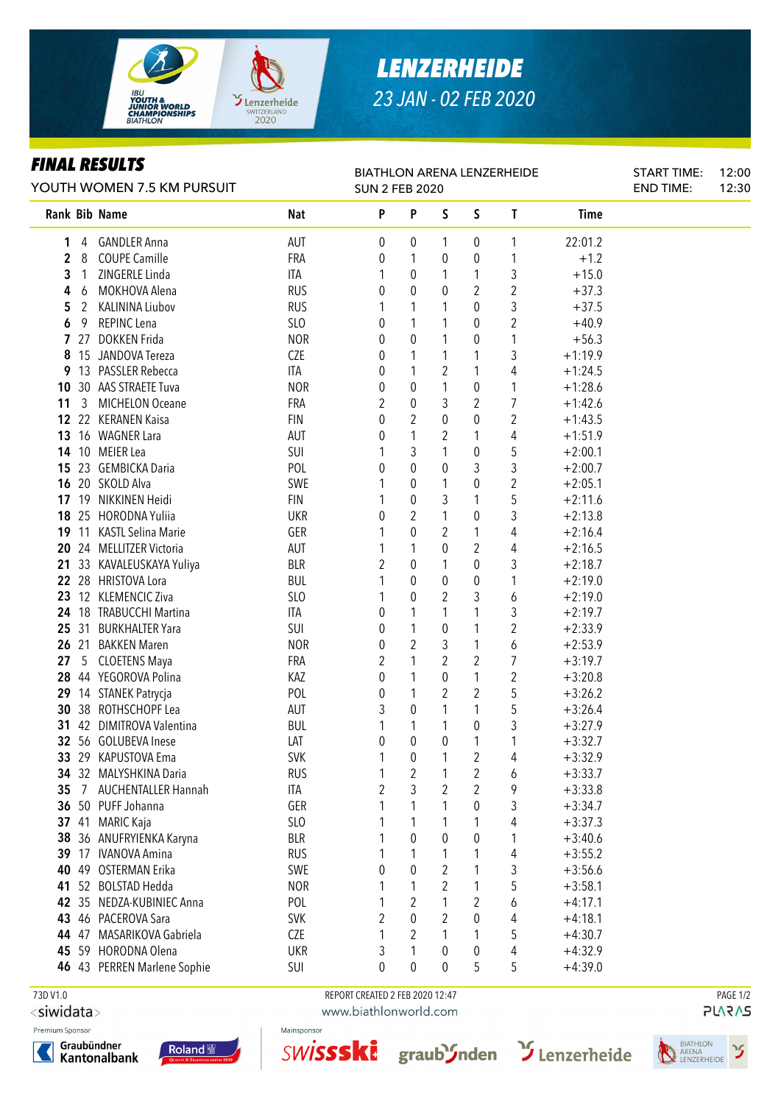

# *LENZERHEIDE 23 JAN - 02 FEB 2020*

### *FINAL RESULTS*

| FINAL KEYULIY<br>YOUTH WOMEN 7.5 KM PURSUIT |       |                             |                 | <b>BIATHLON ARENA LENZERHEIDE</b><br><b>SUN 2 FEB 2020</b> |                  | <b>START TIME:</b><br><b>END TIME:</b> | 12:00<br>12:30 |                  |           |  |  |
|---------------------------------------------|-------|-----------------------------|-----------------|------------------------------------------------------------|------------------|----------------------------------------|----------------|------------------|-----------|--|--|
|                                             |       | Rank Bib Name               | Nat             | P                                                          | P                | $\sf S$                                | S              | T                | Time      |  |  |
| 1                                           | 4     | <b>GANDLER Anna</b>         | AUT             | 0                                                          | 0                | 1                                      | 0              | 1                | 22:01.2   |  |  |
| 2                                           | 8     | <b>COUPE Camille</b>        | FRA             | 0                                                          | 1                | 0                                      | 0              | 1                | $+1.2$    |  |  |
| 3                                           | 1     | ZINGERLE Linda              | ITA             | 1                                                          | 0                | 1                                      | 1              | 3                | $+15.0$   |  |  |
| 4                                           | 6     | MOKHOVA Alena               | <b>RUS</b>      | 0                                                          | $\theta$         | 0                                      | 2              | $\overline{c}$   | $+37.3$   |  |  |
| 5                                           | 2     | <b>KALININA Liubov</b>      | <b>RUS</b>      | 1                                                          | 1                | 1                                      | 0              | 3                | $+37.5$   |  |  |
| 6                                           | 9     | REPINC Lena                 | <b>SLO</b>      | 0                                                          | 1                | 1                                      | 0              | $\overline{c}$   | $+40.9$   |  |  |
|                                             |       | 7 27 DOKKEN Frida           | <b>NOR</b>      | 0                                                          | 0                | 1                                      | 0              | 1                | $+56.3$   |  |  |
| 8                                           |       | 15 JANDOVA Tereza           | CZE             | 0                                                          | 1                | 1                                      | 1              | 3                | $+1:19.9$ |  |  |
| 9                                           |       | 13 PASSLER Rebecca          | ITA             | 0                                                          | 1                | $\overline{2}$                         | 1              | 4                | $+1:24.5$ |  |  |
| 10                                          |       | 30 AAS STRAETE Tuva         | <b>NOR</b>      | 0                                                          | 0                | 1                                      | 0              | 1                | $+1:28.6$ |  |  |
| 11                                          | 3     | <b>MICHELON Oceane</b>      | FRA             | 2                                                          | 0                | 3                                      | 2              | 7                | $+1:42.6$ |  |  |
| 12                                          |       | 22 KERANEN Kaisa            | <b>FIN</b>      | 0                                                          | 2                | 0                                      | 0              | $\boldsymbol{2}$ | $+1:43.5$ |  |  |
| 13                                          |       | 16 WAGNER Lara              | <b>AUT</b>      | 0                                                          | 1                | 2                                      | 1              | 4                | $+1:51.9$ |  |  |
| 14                                          |       | 10 MEIER Lea                | SUI             | 1                                                          | 3                | 1                                      | 0              | 5                | $+2:00.1$ |  |  |
| 15                                          |       | 23 GEMBICKA Daria           | POL             | 0                                                          | 0                | 0                                      | 3              | 3                | $+2:00.7$ |  |  |
| 16                                          |       | 20 SKOLD Alva               | SWE             | 1                                                          | $\boldsymbol{0}$ | 1                                      | 0              | $\boldsymbol{2}$ | $+2:05.1$ |  |  |
| 17                                          | 19    | NIKKINEN Heidi              | <b>FIN</b>      | 1                                                          | $\pmb{0}$        | 3                                      | 1              | 5                | $+2:11.6$ |  |  |
| 18                                          |       | 25 HORODNA Yuliia           | <b>UKR</b>      | 0                                                          | $\overline{2}$   | 1                                      | 0              | 3                | $+2:13.8$ |  |  |
| 19                                          |       | 11 KASTL Selina Marie       | GER             | 1                                                          | $\pmb{0}$        | $\overline{2}$                         | 1              | 4                | $+2:16.4$ |  |  |
| 20                                          |       | 24 MELLITZER Victoria       | AUT             |                                                            | 1                | 0                                      | 2              | 4                | $+2:16.5$ |  |  |
| 21                                          |       | 33 KAVALEUSKAYA Yuliya      | <b>BLR</b>      | $\overline{2}$                                             | $\boldsymbol{0}$ | 1                                      | 0              | 3                | $+2:18.7$ |  |  |
| 22                                          |       | 28 HRISTOVA Lora            | <b>BUL</b>      | 1                                                          | $\mathbf 0$      | 0                                      | 0              | 1                | $+2:19.0$ |  |  |
| 23                                          |       | 12 KLEMENCIC Ziva           | SLO             | 1                                                          | 0                | $\overline{c}$                         | 3              | 6                | $+2:19.0$ |  |  |
|                                             |       | 24 18 TRABUCCHI Martina     | ITA             | 0                                                          | 1                | 1                                      | 1              | 3                | $+2:19.7$ |  |  |
|                                             |       | 25 31 BURKHALTER Yara       | SUI             | 0                                                          | 1                | 0                                      | 1              | 2                | $+2:33.9$ |  |  |
|                                             | 26 21 | <b>BAKKEN Maren</b>         | <b>NOR</b>      | 0                                                          | 2                | 3                                      | 1              | 6                | $+2:53.9$ |  |  |
| 27                                          | 5     | <b>CLOETENS Maya</b>        | FRA             | 2                                                          | 1                | $\overline{2}$                         | 2              | 7                | $+3:19.7$ |  |  |
|                                             |       | 28 44 YEGOROVA Polina       | KAZ             | 0                                                          | 1                | $\mathbf{0}$                           | 1              | 2                | $+3:20.8$ |  |  |
|                                             |       | 29 14 STANEK Patrycja       | POL             | 0                                                          | 1                | 2                                      | 2              | 5                | $+3:26.2$ |  |  |
| 30                                          |       | 38 ROTHSCHOPF Lea           | AUT             | 3                                                          | 0                | 1                                      | 1              | 5                | $+3:26.4$ |  |  |
| 31                                          |       | 42 DIMITROVA Valentina      | <b>BUL</b>      | 1                                                          | 1                |                                        | 0              | 3                | $+3:27.9$ |  |  |
|                                             |       | 32 56 GOLUBEVA Inese        | LAT             | 0                                                          | $\overline{0}$   | 0                                      | 1              | 1                | $+3:32.7$ |  |  |
|                                             |       | 33 29 KAPUSTOVA Ema         | <b>SVK</b>      | 1                                                          | 0                | 1                                      | 2              | 4                | $+3:32.9$ |  |  |
|                                             |       | 34 32 MALYSHKINA Daria      | <b>RUS</b>      | 1                                                          | 2                |                                        | 2              | 6                | $+3:33.7$ |  |  |
| 35                                          | 7     | <b>AUCHENTALLER Hannah</b>  | ITA             | $\overline{2}$                                             | 3                | 2                                      | 2              | 9                | $+3:33.8$ |  |  |
|                                             |       | 36 50 PUFF Johanna          | GER             | 1                                                          |                  |                                        | 0              | 3                | $+3:34.7$ |  |  |
|                                             | 37 41 | <b>MARIC Kaja</b>           | SL <sub>O</sub> | 1                                                          | 1                | 1                                      | 1              | 4                | $+3:37.3$ |  |  |
| 38                                          |       | 36 ANUFRYIENKA Karyna       | <b>BLR</b>      | 1                                                          | 0                | 0                                      | 0              | 1                | $+3:40.6$ |  |  |
|                                             |       | 39 17 IVANOVA Amina         | <b>RUS</b>      | 1                                                          |                  | 1                                      | 1              | 4                | $+3:55.2$ |  |  |
| 40                                          |       | 49 OSTERMAN Erika           | SWE             | 0                                                          | 0                | $\overline{2}$                         | 1              | 3                | $+3:56.6$ |  |  |
|                                             |       | 41 52 BOLSTAD Hedda         | <b>NOR</b>      | 1                                                          |                  | 2                                      | 1              | 5                | $+3:58.1$ |  |  |
|                                             |       | 42 35 NEDZA-KUBINIEC Anna   | POL             | 1                                                          | 2                | 1                                      | 2              | 6                | $+4:17.1$ |  |  |
|                                             |       | 43 46 PACEROVA Sara         | <b>SVK</b>      | $\overline{2}$                                             | 0                | 2                                      | 0              | 4                | $+4:18.1$ |  |  |
|                                             |       | 44 47 MASARIKOVA Gabriela   | <b>CZE</b>      | 1                                                          | 2                | 1                                      | 1              | 5                | $+4:30.7$ |  |  |
| 45                                          |       | 59 HORODNA Olena            | <b>UKR</b>      | 3                                                          | 1                | $\mathbf 0$                            | 0              | 4                | $+4:32.9$ |  |  |
|                                             |       | 46 43 PERREN Marlene Sophie | SUI             | 0                                                          | 0                | 0                                      | 5              | 5                | $+4:39.0$ |  |  |

<siwidata>

Premium Sponsor





 73D V1.0 REPORT CREATED 2 FEB 2020 12:47 PAGE 1/2www.biathlonworld.com

SWISSSKI graubSnden SLenzerheide

Mainsponsor

**PLARAS**